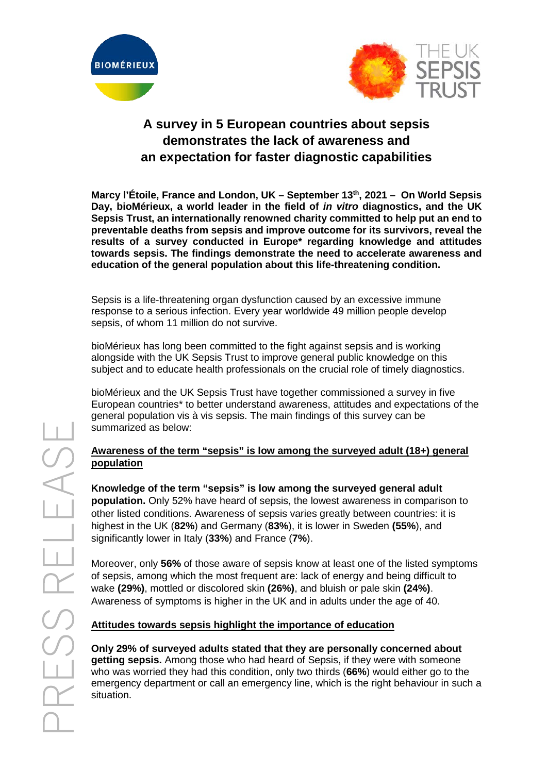



# **A survey in 5 European countries about sepsis demonstrates the lack of awareness and an expectation for faster diagnostic capabilities**

**Marcy l'Étoile, France and London, UK – September 13th, 2021 – On World Sepsis Day, bioMérieux, a world leader in the field of** *in vitro* **diagnostics, and the UK Sepsis Trust, an internationally renowned charity committed to help put an end to preventable deaths from sepsis and improve outcome for its survivors, reveal the results of a survey conducted in Europe\* regarding knowledge and attitudes towards sepsis. The findings demonstrate the need to accelerate awareness and education of the general population about this life-threatening condition.**

Sepsis is a life-threatening organ dysfunction caused by an excessive immune response to a serious infection. Every year worldwide 49 million people develop sepsis, of whom 11 million do not survive.

bioMérieux has long been committed to the fight against sepsis and is working alongside with the UK Sepsis Trust to improve general public knowledge on this subject and to educate health professionals on the crucial role of timely diagnostics.

bioMérieux and the UK Sepsis Trust have together commissioned a survey in five European countries\* to better understand awareness, attitudes and expectations of the general population vis à vis sepsis. The main findings of this survey can be summarized as below:

#### **Awareness of the term "sepsis" is low among the surveyed adult (18+) general population**

**Knowledge of the term "sepsis" is low among the surveyed general adult population.** Only 52% have heard of sepsis, the lowest awareness in comparison to other listed conditions. Awareness of sepsis varies greatly between countries: it is highest in the UK (**82%**) and Germany (**83%**), it is lower in Sweden **(55%**), and significantly lower in Italy (**33%**) and France (**7%**).

Moreover, only **56%** of those aware of sepsis know at least one of the listed symptoms of sepsis, among which the most frequent are: lack of energy and being difficult to wake **(29%)**, mottled or discolored skin **(26%)**, and bluish or pale skin **(24%)**. Awareness of symptoms is higher in the UK and in adults under the age of 40.

# **Attitudes towards sepsis highlight the importance of education**

**Only 29% of surveyed adults stated that they are personally concerned about getting sepsis.** Among those who had heard of Sepsis, if they were with someone who was worried they had this condition, only two thirds (**66%**) would either go to the emergency department or call an emergency line, which is the right behaviour in such a situation.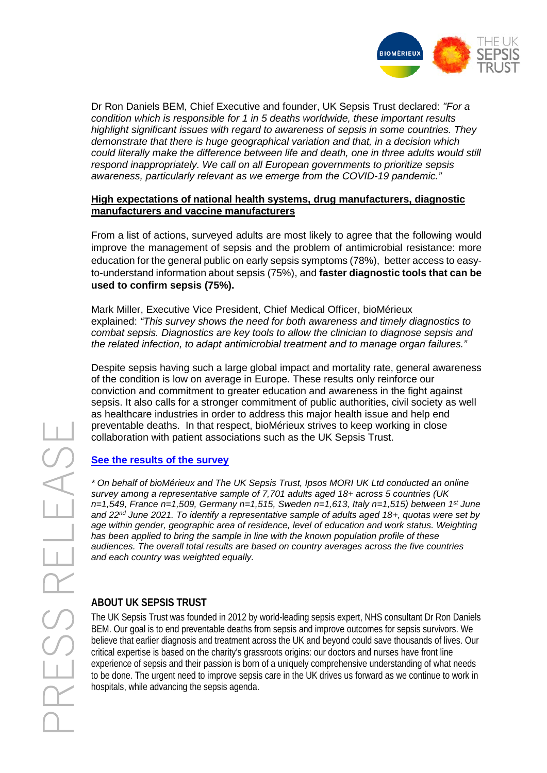

Dr Ron Daniels BEM, Chief Executive and founder, UK Sepsis Trust declared: *"For a condition which is responsible for 1 in 5 deaths worldwide, these important results highlight significant issues with regard to awareness of sepsis in some countries. They demonstrate that there is huge geographical variation and that, in a decision which could literally make the difference between life and death, one in three adults would still respond inappropriately. We call on all European governments to prioritize sepsis awareness, particularly relevant as we emerge from the COVID-19 pandemic."*

#### **High expectations of national health systems, drug manufacturers, diagnostic manufacturers and vaccine manufacturers**

From a list of actions, surveyed adults are most likely to agree that the following would improve the management of sepsis and the problem of antimicrobial resistance: more education for the general public on early sepsis symptoms (78%), better access to easyto-understand information about sepsis (75%), and **faster diagnostic tools that can be used to confirm sepsis (75%).**

Mark Miller, Executive Vice President, Chief Medical Officer, bioMérieux explained: *"This survey shows the need for both awareness and timely diagnostics to combat sepsis. Diagnostics are key tools to allow the clinician to diagnose sepsis and the related infection, to adapt antimicrobial treatment and to manage organ failures."*

Despite sepsis having such a large global impact and mortality rate, general awareness of the condition is low on average in Europe. These results only reinforce our conviction and commitment to greater education and awareness in the fight against sepsis. It also calls for a stronger commitment of public authorities, civil society as well as healthcare industries in order to address this major health issue and help end preventable deaths. In that respect, bioMérieux strives to keep working in close collaboration with patient associations such as the UK Sepsis Trust.

#### **[See the results of the survey](https://www.biomerieux.com/sites/corporate/files/survey_uk_sepsis_trust_biomerieux_ipsos_-_20210913.pdf)**

*\* On behalf of bioMérieux and The UK Sepsis Trust, Ipsos MORI UK Ltd conducted an online survey among a representative sample of 7,701 adults aged 18+ across 5 countries (UK n=1,549, France n=1,509, Germany n=1,515, Sweden n=1,613, Italy n=1,515) between 1st June and 22nd June 2021. To identify a representative sample of adults aged 18+, quotas were set by age within gender, geographic area of residence, level of education and work status. Weighting has been applied to bring the sample in line with the known population profile of these audiences. The overall total results are based on country averages across the five countries and each country was weighted equally.*

#### **ABOUT UK SEPSIS TRUST**

The UK Sepsis Trust was founded in 2012 by world-leading sepsis expert, NHS consultant Dr Ron Daniels BEM. Our goal is to end preventable deaths from sepsis and improve outcomes for sepsis survivors. We believe that earlier diagnosis and treatment across the UK and beyond could save thousands of lives. Our critical expertise is based on the charity's grassroots origins: our doctors and nurses have front line experience of sepsis and their passion is born of a uniquely comprehensive understanding of what needs to be done. The urgent need to improve sepsis care in the UK drives us forward as we continue to work in hospitals, while advancing the sepsis agenda.